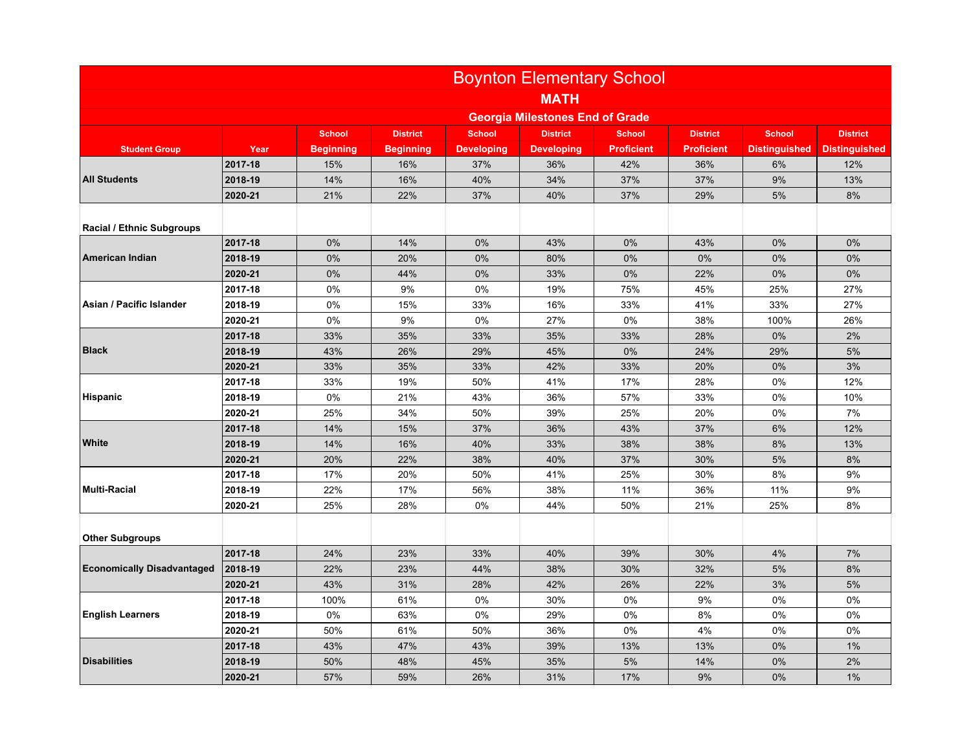|                                   | <b>Boynton Elementary School</b>       |                  |                  |                   |                   |                   |                   |                      |                      |
|-----------------------------------|----------------------------------------|------------------|------------------|-------------------|-------------------|-------------------|-------------------|----------------------|----------------------|
|                                   | <b>MATH</b>                            |                  |                  |                   |                   |                   |                   |                      |                      |
|                                   | <b>Georgia Milestones End of Grade</b> |                  |                  |                   |                   |                   |                   |                      |                      |
|                                   |                                        | <b>School</b>    | <b>District</b>  | <b>School</b>     | <b>District</b>   | <b>School</b>     | <b>District</b>   | <b>School</b>        | <b>District</b>      |
| <b>Student Group</b>              | Year                                   | <b>Beginning</b> | <b>Beginning</b> | <b>Developing</b> | <b>Developing</b> | <b>Proficient</b> | <b>Proficient</b> | <b>Distinguished</b> | <b>Distinguished</b> |
| <b>All Students</b>               | 2017-18                                | 15%              | 16%              | 37%               | 36%               | 42%               | 36%               | 6%                   | 12%                  |
|                                   | 2018-19                                | 14%              | 16%              | 40%               | 34%               | 37%               | 37%               | 9%                   | 13%                  |
|                                   | 2020-21                                | 21%              | 22%              | 37%               | 40%               | 37%               | 29%               | 5%                   | 8%                   |
| <b>Racial / Ethnic Subgroups</b>  |                                        |                  |                  |                   |                   |                   |                   |                      |                      |
|                                   | 2017-18                                | 0%               | 14%              | $0\%$             | 43%               | 0%                | 43%               | 0%                   | 0%                   |
| American Indian                   | 2018-19                                | 0%               | 20%              | 0%                | 80%               | 0%                | 0%                | 0%                   | 0%                   |
|                                   | 2020-21                                | 0%               | 44%              | 0%                | 33%               | 0%                | 22%               | 0%                   | 0%                   |
|                                   | 2017-18                                | $0\%$            | 9%               | 0%                | 19%               | 75%               | 45%               | 25%                  | 27%                  |
| Asian / Pacific Islander          | 2018-19                                | 0%               | 15%              | 33%               | 16%               | 33%               | 41%               | 33%                  | 27%                  |
|                                   | 2020-21                                | 0%               | 9%               | 0%                | 27%               | 0%                | 38%               | 100%                 | 26%                  |
|                                   | 2017-18                                | 33%              | 35%              | 33%               | 35%               | 33%               | 28%               | 0%                   | 2%                   |
| <b>Black</b>                      | 2018-19                                | 43%              | 26%              | 29%               | 45%               | 0%                | 24%               | 29%                  | 5%                   |
|                                   | 2020-21                                | 33%              | 35%              | 33%               | 42%               | 33%               | 20%               | $0\%$                | 3%                   |
|                                   | 2017-18                                | 33%              | 19%              | 50%               | 41%               | 17%               | 28%               | 0%                   | 12%                  |
| <b>Hispanic</b>                   | 2018-19                                | 0%               | 21%              | 43%               | 36%               | 57%               | 33%               | 0%                   | 10%                  |
|                                   | 2020-21                                | 25%              | 34%              | 50%               | 39%               | 25%               | 20%               | 0%                   | 7%                   |
| White                             | 2017-18                                | 14%              | 15%              | 37%               | 36%               | 43%               | 37%               | 6%                   | 12%                  |
|                                   | 2018-19                                | 14%              | 16%              | 40%               | 33%               | 38%               | 38%               | 8%                   | 13%                  |
|                                   | 2020-21                                | 20%              | 22%              | 38%               | 40%               | 37%               | 30%               | 5%                   | 8%                   |
|                                   | 2017-18                                | 17%              | 20%              | 50%               | 41%               | 25%               | 30%               | 8%                   | 9%                   |
| <b>Multi-Racial</b>               | 2018-19                                | 22%              | 17%              | 56%               | 38%               | 11%               | 36%               | 11%                  | 9%                   |
|                                   | 2020-21                                | 25%              | 28%              | $0\%$             | 44%               | 50%               | 21%               | 25%                  | 8%                   |
| <b>Other Subgroups</b>            |                                        |                  |                  |                   |                   |                   |                   |                      |                      |
|                                   | 2017-18                                | 24%              | 23%              | 33%               | 40%               | 39%               | 30%               | 4%                   | 7%                   |
| <b>Economically Disadvantaged</b> | 2018-19                                | 22%              | 23%              | 44%               | 38%               | 30%               | 32%               | 5%                   | 8%                   |
|                                   | 2020-21                                | 43%              | 31%              | 28%               | 42%               | 26%               | 22%               | 3%                   | 5%                   |
| <b>English Learners</b>           | 2017-18                                | 100%             | 61%              | $0\%$             | 30%               | 0%                | 9%                | 0%                   | 0%                   |
|                                   | 2018-19                                | 0%               | 63%              | 0%                | 29%               | 0%                | 8%                | 0%                   | 0%                   |
|                                   | 2020-21                                | 50%              | 61%              | 50%               | 36%               | 0%                | 4%                | 0%                   | 0%                   |
|                                   | 2017-18                                | 43%              | 47%              | 43%               | 39%               | 13%               | 13%               | 0%                   | 1%                   |
| <b>Disabilities</b>               | 2018-19                                | 50%              | 48%              | 45%               | 35%               | 5%                | 14%               | 0%                   | 2%                   |
|                                   | 2020-21                                | 57%              | 59%              | 26%               | 31%               | 17%               | 9%                | 0%                   | 1%                   |